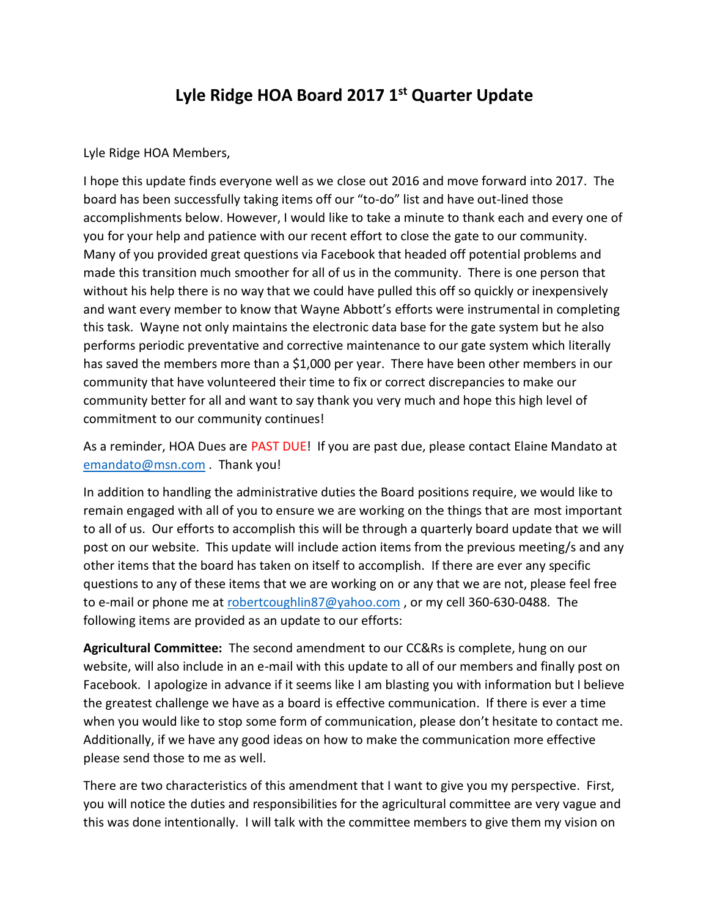## **Lyle Ridge HOA Board 2017 1st Quarter Update**

Lyle Ridge HOA Members,

I hope this update finds everyone well as we close out 2016 and move forward into 2017. The board has been successfully taking items off our "to-do" list and have out-lined those accomplishments below. However, I would like to take a minute to thank each and every one of you for your help and patience with our recent effort to close the gate to our community. Many of you provided great questions via Facebook that headed off potential problems and made this transition much smoother for all of us in the community. There is one person that without his help there is no way that we could have pulled this off so quickly or inexpensively and want every member to know that Wayne Abbott's efforts were instrumental in completing this task. Wayne not only maintains the electronic data base for the gate system but he also performs periodic preventative and corrective maintenance to our gate system which literally has saved the members more than a \$1,000 per year. There have been other members in our community that have volunteered their time to fix or correct discrepancies to make our community better for all and want to say thank you very much and hope this high level of commitment to our community continues!

As a reminder, HOA Dues are PAST DUE! If you are past due, please contact Elaine Mandato at [emandato@msn.com](mailto:emandato@msn.com) . Thank you!

In addition to handling the administrative duties the Board positions require, we would like to remain engaged with all of you to ensure we are working on the things that are most important to all of us. Our efforts to accomplish this will be through a quarterly board update that we will post on our website. This update will include action items from the previous meeting/s and any other items that the board has taken on itself to accomplish. If there are ever any specific questions to any of these items that we are working on or any that we are not, please feel free to e-mail or phone me at [robertcoughlin87@yahoo.com](mailto:robertcoughlin87@yahoo.com), or my cell 360-630-0488. The following items are provided as an update to our efforts:

**Agricultural Committee:** The second amendment to our CC&Rs is complete, hung on our website, will also include in an e-mail with this update to all of our members and finally post on Facebook. I apologize in advance if it seems like I am blasting you with information but I believe the greatest challenge we have as a board is effective communication. If there is ever a time when you would like to stop some form of communication, please don't hesitate to contact me. Additionally, if we have any good ideas on how to make the communication more effective please send those to me as well.

There are two characteristics of this amendment that I want to give you my perspective. First, you will notice the duties and responsibilities for the agricultural committee are very vague and this was done intentionally. I will talk with the committee members to give them my vision on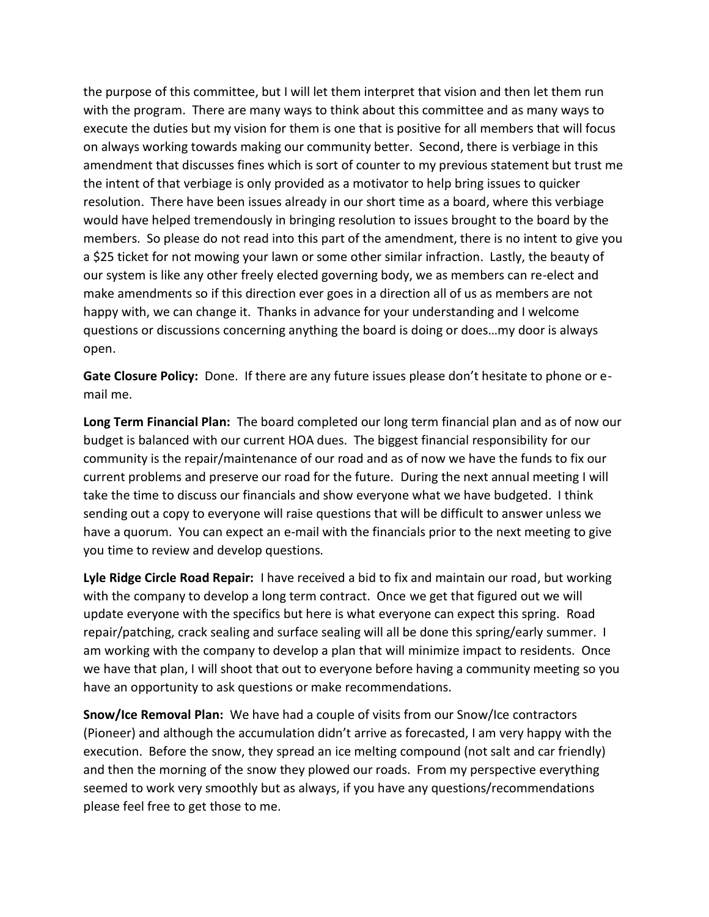the purpose of this committee, but I will let them interpret that vision and then let them run with the program. There are many ways to think about this committee and as many ways to execute the duties but my vision for them is one that is positive for all members that will focus on always working towards making our community better. Second, there is verbiage in this amendment that discusses fines which is sort of counter to my previous statement but trust me the intent of that verbiage is only provided as a motivator to help bring issues to quicker resolution. There have been issues already in our short time as a board, where this verbiage would have helped tremendously in bringing resolution to issues brought to the board by the members. So please do not read into this part of the amendment, there is no intent to give you a \$25 ticket for not mowing your lawn or some other similar infraction. Lastly, the beauty of our system is like any other freely elected governing body, we as members can re-elect and make amendments so if this direction ever goes in a direction all of us as members are not happy with, we can change it. Thanks in advance for your understanding and I welcome questions or discussions concerning anything the board is doing or does…my door is always open.

**Gate Closure Policy:** Done. If there are any future issues please don't hesitate to phone or email me.

**Long Term Financial Plan:** The board completed our long term financial plan and as of now our budget is balanced with our current HOA dues. The biggest financial responsibility for our community is the repair/maintenance of our road and as of now we have the funds to fix our current problems and preserve our road for the future. During the next annual meeting I will take the time to discuss our financials and show everyone what we have budgeted. I think sending out a copy to everyone will raise questions that will be difficult to answer unless we have a quorum. You can expect an e-mail with the financials prior to the next meeting to give you time to review and develop questions.

**Lyle Ridge Circle Road Repair:** I have received a bid to fix and maintain our road, but working with the company to develop a long term contract. Once we get that figured out we will update everyone with the specifics but here is what everyone can expect this spring. Road repair/patching, crack sealing and surface sealing will all be done this spring/early summer. I am working with the company to develop a plan that will minimize impact to residents. Once we have that plan, I will shoot that out to everyone before having a community meeting so you have an opportunity to ask questions or make recommendations.

**Snow/Ice Removal Plan:** We have had a couple of visits from our Snow/Ice contractors (Pioneer) and although the accumulation didn't arrive as forecasted, I am very happy with the execution. Before the snow, they spread an ice melting compound (not salt and car friendly) and then the morning of the snow they plowed our roads. From my perspective everything seemed to work very smoothly but as always, if you have any questions/recommendations please feel free to get those to me.